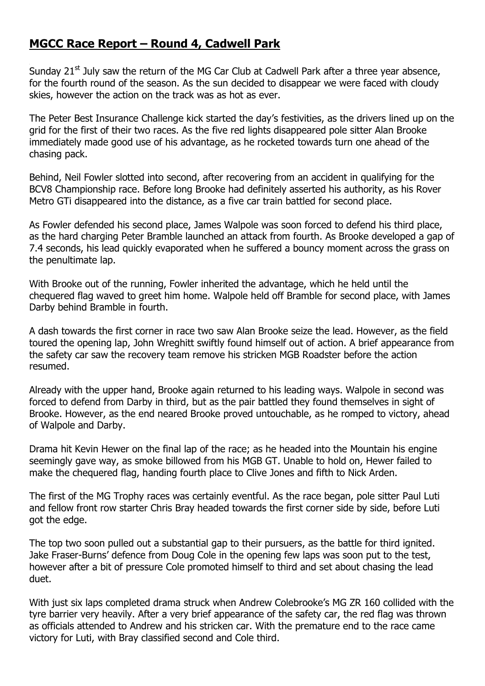## **MGCC Race Report – Round 4, Cadwell Park**

Sunday  $21^{st}$  July saw the return of the MG Car Club at Cadwell Park after a three year absence, for the fourth round of the season. As the sun decided to disappear we were faced with cloudy skies, however the action on the track was as hot as ever.

The Peter Best Insurance Challenge kick started the day's festivities, as the drivers lined up on the grid for the first of their two races. As the five red lights disappeared pole sitter Alan Brooke immediately made good use of his advantage, as he rocketed towards turn one ahead of the chasing pack.

Behind, Neil Fowler slotted into second, after recovering from an accident in qualifying for the BCV8 Championship race. Before long Brooke had definitely asserted his authority, as his Rover Metro GTi disappeared into the distance, as a five car train battled for second place.

As Fowler defended his second place, James Walpole was soon forced to defend his third place, as the hard charging Peter Bramble launched an attack from fourth. As Brooke developed a gap of 7.4 seconds, his lead quickly evaporated when he suffered a bouncy moment across the grass on the penultimate lap.

With Brooke out of the running, Fowler inherited the advantage, which he held until the chequered flag waved to greet him home. Walpole held off Bramble for second place, with James Darby behind Bramble in fourth.

A dash towards the first corner in race two saw Alan Brooke seize the lead. However, as the field toured the opening lap, John Wreghitt swiftly found himself out of action. A brief appearance from the safety car saw the recovery team remove his stricken MGB Roadster before the action resumed.

Already with the upper hand, Brooke again returned to his leading ways. Walpole in second was forced to defend from Darby in third, but as the pair battled they found themselves in sight of Brooke. However, as the end neared Brooke proved untouchable, as he romped to victory, ahead of Walpole and Darby.

Drama hit Kevin Hewer on the final lap of the race; as he headed into the Mountain his engine seemingly gave way, as smoke billowed from his MGB GT. Unable to hold on, Hewer failed to make the chequered flag, handing fourth place to Clive Jones and fifth to Nick Arden.

The first of the MG Trophy races was certainly eventful. As the race began, pole sitter Paul Luti and fellow front row starter Chris Bray headed towards the first corner side by side, before Luti got the edge.

The top two soon pulled out a substantial gap to their pursuers, as the battle for third ignited. Jake Fraser-Burns' defence from Doug Cole in the opening few laps was soon put to the test, however after a bit of pressure Cole promoted himself to third and set about chasing the lead duet.

With just six laps completed drama struck when Andrew Colebrooke's MG ZR 160 collided with the tyre barrier very heavily. After a very brief appearance of the safety car, the red flag was thrown as officials attended to Andrew and his stricken car. With the premature end to the race came victory for Luti, with Bray classified second and Cole third.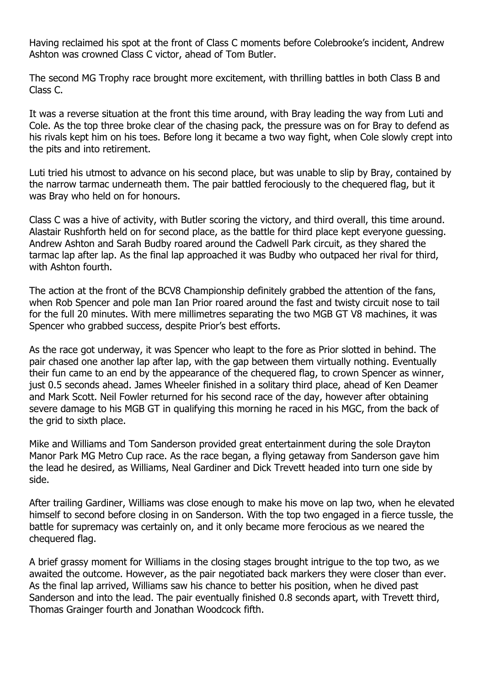Having reclaimed his spot at the front of Class C moments before Colebrooke's incident, Andrew Ashton was crowned Class C victor, ahead of Tom Butler.

The second MG Trophy race brought more excitement, with thrilling battles in both Class B and Class C.

It was a reverse situation at the front this time around, with Bray leading the way from Luti and Cole. As the top three broke clear of the chasing pack, the pressure was on for Bray to defend as his rivals kept him on his toes. Before long it became a two way fight, when Cole slowly crept into the pits and into retirement.

Luti tried his utmost to advance on his second place, but was unable to slip by Bray, contained by the narrow tarmac underneath them. The pair battled ferociously to the chequered flag, but it was Bray who held on for honours.

Class C was a hive of activity, with Butler scoring the victory, and third overall, this time around. Alastair Rushforth held on for second place, as the battle for third place kept everyone guessing. Andrew Ashton and Sarah Budby roared around the Cadwell Park circuit, as they shared the tarmac lap after lap. As the final lap approached it was Budby who outpaced her rival for third, with Ashton fourth.

The action at the front of the BCV8 Championship definitely grabbed the attention of the fans, when Rob Spencer and pole man Ian Prior roared around the fast and twisty circuit nose to tail for the full 20 minutes. With mere millimetres separating the two MGB GT V8 machines, it was Spencer who grabbed success, despite Prior's best efforts.

As the race got underway, it was Spencer who leapt to the fore as Prior slotted in behind. The pair chased one another lap after lap, with the gap between them virtually nothing. Eventually their fun came to an end by the appearance of the chequered flag, to crown Spencer as winner, just 0.5 seconds ahead. James Wheeler finished in a solitary third place, ahead of Ken Deamer and Mark Scott. Neil Fowler returned for his second race of the day, however after obtaining severe damage to his MGB GT in qualifying this morning he raced in his MGC, from the back of the grid to sixth place.

Mike and Williams and Tom Sanderson provided great entertainment during the sole Drayton Manor Park MG Metro Cup race. As the race began, a flying getaway from Sanderson gave him the lead he desired, as Williams, Neal Gardiner and Dick Trevett headed into turn one side by side.

After trailing Gardiner, Williams was close enough to make his move on lap two, when he elevated himself to second before closing in on Sanderson. With the top two engaged in a fierce tussle, the battle for supremacy was certainly on, and it only became more ferocious as we neared the chequered flag.

A brief grassy moment for Williams in the closing stages brought intrigue to the top two, as we awaited the outcome. However, as the pair negotiated back markers they were closer than ever. As the final lap arrived, Williams saw his chance to better his position, when he dived past Sanderson and into the lead. The pair eventually finished 0.8 seconds apart, with Trevett third, Thomas Grainger fourth and Jonathan Woodcock fifth.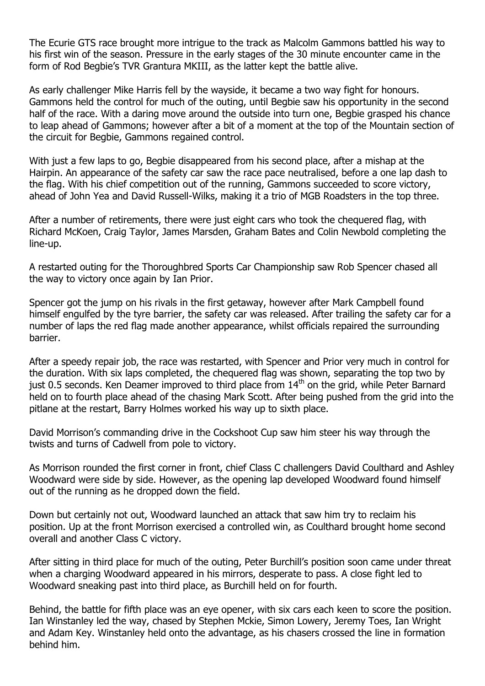The Ecurie GTS race brought more intrigue to the track as Malcolm Gammons battled his way to his first win of the season. Pressure in the early stages of the 30 minute encounter came in the form of Rod Begbie's TVR Grantura MKIII, as the latter kept the battle alive.

As early challenger Mike Harris fell by the wayside, it became a two way fight for honours. Gammons held the control for much of the outing, until Begbie saw his opportunity in the second half of the race. With a daring move around the outside into turn one, Begbie grasped his chance to leap ahead of Gammons; however after a bit of a moment at the top of the Mountain section of the circuit for Begbie, Gammons regained control.

With just a few laps to go, Begbie disappeared from his second place, after a mishap at the Hairpin. An appearance of the safety car saw the race pace neutralised, before a one lap dash to the flag. With his chief competition out of the running, Gammons succeeded to score victory, ahead of John Yea and David Russell-Wilks, making it a trio of MGB Roadsters in the top three.

After a number of retirements, there were just eight cars who took the chequered flag, with Richard McKoen, Craig Taylor, James Marsden, Graham Bates and Colin Newbold completing the line-up.

A restarted outing for the Thoroughbred Sports Car Championship saw Rob Spencer chased all the way to victory once again by Ian Prior.

Spencer got the jump on his rivals in the first getaway, however after Mark Campbell found himself engulfed by the tyre barrier, the safety car was released. After trailing the safety car for a number of laps the red flag made another appearance, whilst officials repaired the surrounding barrier.

After a speedy repair job, the race was restarted, with Spencer and Prior very much in control for the duration. With six laps completed, the chequered flag was shown, separating the top two by just 0.5 seconds. Ken Deamer improved to third place from 14<sup>th</sup> on the grid, while Peter Barnard held on to fourth place ahead of the chasing Mark Scott. After being pushed from the grid into the pitlane at the restart, Barry Holmes worked his way up to sixth place.

David Morrison's commanding drive in the Cockshoot Cup saw him steer his way through the twists and turns of Cadwell from pole to victory.

As Morrison rounded the first corner in front, chief Class C challengers David Coulthard and Ashley Woodward were side by side. However, as the opening lap developed Woodward found himself out of the running as he dropped down the field.

Down but certainly not out, Woodward launched an attack that saw him try to reclaim his position. Up at the front Morrison exercised a controlled win, as Coulthard brought home second overall and another Class C victory.

After sitting in third place for much of the outing, Peter Burchill's position soon came under threat when a charging Woodward appeared in his mirrors, desperate to pass. A close fight led to Woodward sneaking past into third place, as Burchill held on for fourth.

Behind, the battle for fifth place was an eye opener, with six cars each keen to score the position. Ian Winstanley led the way, chased by Stephen Mckie, Simon Lowery, Jeremy Toes, Ian Wright and Adam Key. Winstanley held onto the advantage, as his chasers crossed the line in formation behind him.